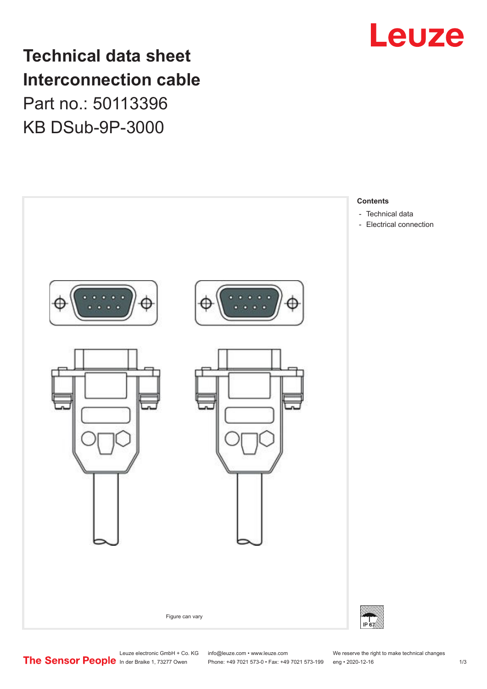

## **Technical data sheet Interconnection cable** Part no.: 50113396 KB DSub-9P-3000



Leuze electronic GmbH + Co. KG info@leuze.com • www.leuze.com We reserve the right to make technical changes<br>
The Sensor People in der Braike 1, 73277 Owen Phone: +49 7021 573-0 • Fax: +49 7021 573-199 eng • 2020-12-16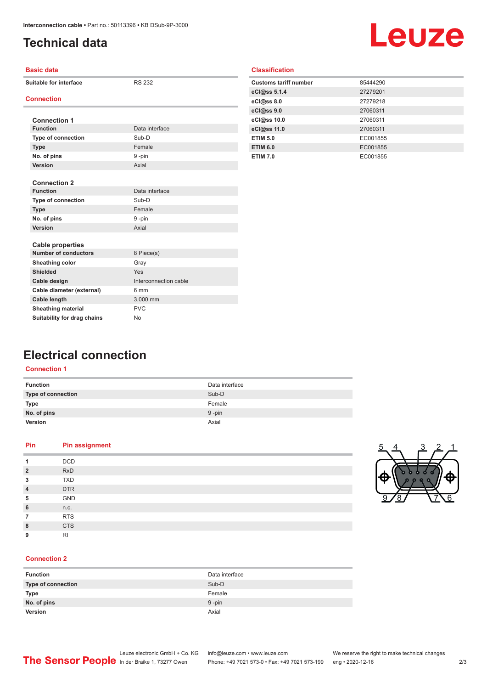## <span id="page-1-0"></span>**Technical data**

# Leuze

| <b>Basic data</b>           |                       |  |
|-----------------------------|-----------------------|--|
| Suitable for interface      | <b>RS 232</b>         |  |
| <b>Connection</b>           |                       |  |
|                             |                       |  |
| <b>Connection 1</b>         |                       |  |
| <b>Function</b>             | Data interface        |  |
| <b>Type of connection</b>   | Sub-D                 |  |
| <b>Type</b>                 | Female                |  |
| No. of pins                 | 9-pin                 |  |
| Version                     | Axial                 |  |
|                             |                       |  |
| <b>Connection 2</b>         |                       |  |
| <b>Function</b>             | Data interface        |  |
| <b>Type of connection</b>   | Sub-D                 |  |
| <b>Type</b>                 | Female                |  |
| No. of pins                 | 9-pin                 |  |
| Version                     | Axial                 |  |
|                             |                       |  |
| <b>Cable properties</b>     |                       |  |
| <b>Number of conductors</b> | 8 Piece(s)            |  |
| Sheathing color             | Gray                  |  |
| <b>Shielded</b>             | Yes                   |  |
| Cable design                | Interconnection cable |  |
| Cable diameter (external)   | 6 mm                  |  |
| <b>Cable length</b>         | 3,000 mm              |  |
| <b>Sheathing material</b>   | <b>PVC</b>            |  |
| Suitability for drag chains | N <sub>o</sub>        |  |

|  | <b>Classification</b> |  |
|--|-----------------------|--|
|  |                       |  |

| 85444290 |
|----------|
| 27279201 |
| 27279218 |
| 27060311 |
| 27060311 |
| 27060311 |
| EC001855 |
| EC001855 |
| EC001855 |
|          |

### **Electrical connection**

#### **Connection 1**

| <b>Function</b>           | Data interface |
|---------------------------|----------------|
| <b>Type of connection</b> | Sub-D          |
| Type                      | Female         |
| No. of pins               | $9 - pin$      |
| <b>Version</b>            | Axial          |

#### **Pin Pin assignment**

| 1              | <b>DCD</b> |
|----------------|------------|
| $\overline{2}$ | <b>RxD</b> |
| 3              | <b>TXD</b> |
| $\overline{4}$ | <b>DTR</b> |
| 5              | GND        |
|                |            |
| 6              | n.c.       |
| $\overline{7}$ | <b>RTS</b> |
| 8              | <b>CTS</b> |
| 9              | <b>RI</b>  |

#### **Connection 2**

| <b>Function</b>    | Data interface |
|--------------------|----------------|
| Type of connection | Sub-D          |
| <b>Type</b>        | Female         |
| No. of pins        | $9$ -pin       |
| Version            | Axial          |